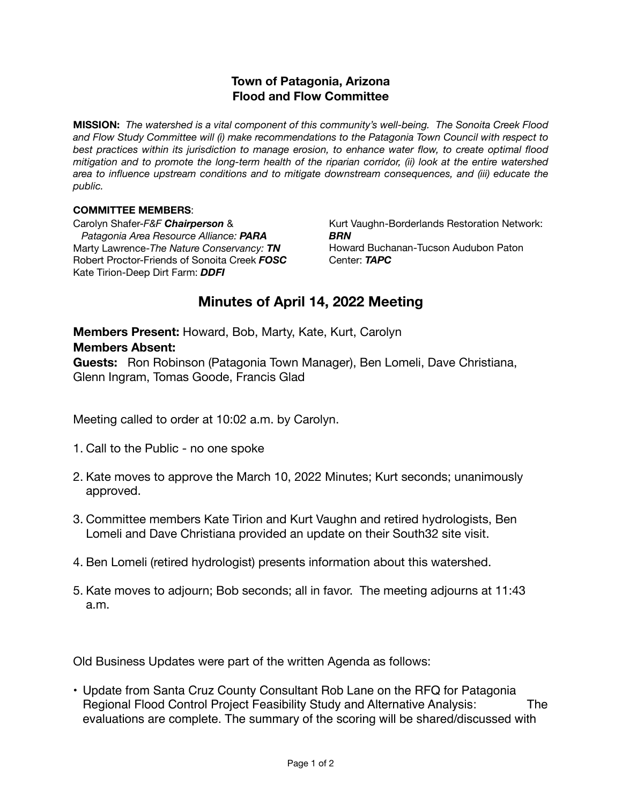## **Town of Patagonia, Arizona Flood and Flow Committee**

**MISSION:** *The watershed is a vital component of this community's well-being. The Sonoita Creek Flood and Flow Study Committee will (i) make recommendations to the Patagonia Town Council with respect to best practices within its jurisdiction to manage erosion, to enhance water flow, to create optimal flood mitigation and to promote the long-term health of the riparian corridor, (ii) look at the entire watershed area to influence upstream conditions and to mitigate downstream consequences, and (iii) educate the public.*

## **COMMITTEE MEMBERS**:

Carolyn Shafer-*F&F Chairperson* & *Patagonia Area Resource Alliance: PARA* Marty Lawrence-*The Nature Conservancy: TN*  Robert Proctor-Friends of Sonoita Creek *FOSC* Kate Tirion-Deep Dirt Farm: *DDFI*

Kurt Vaughn-Borderlands Restoration Network: *BRN* Howard Buchanan-Tucson Audubon Paton Center: *TAPC* 

## **Minutes of April 14, 2022 Meeting**

**Members Present:** Howard, Bob, Marty, Kate, Kurt, Carolyn **Members Absent:**

**Guests:** Ron Robinson (Patagonia Town Manager), Ben Lomeli, Dave Christiana, Glenn Ingram, Tomas Goode, Francis Glad

Meeting called to order at 10:02 a.m. by Carolyn.

- 1. Call to the Public no one spoke
- 2. Kate moves to approve the March 10, 2022 Minutes; Kurt seconds; unanimously approved.
- 3. Committee members Kate Tirion and Kurt Vaughn and retired hydrologists, Ben Lomeli and Dave Christiana provided an update on their South32 site visit.
- 4. Ben Lomeli (retired hydrologist) presents information about this watershed.
- 5. Kate moves to adjourn; Bob seconds; all in favor. The meeting adjourns at 11:43 a.m.

Old Business Updates were part of the written Agenda as follows:

• Update from Santa Cruz County Consultant Rob Lane on the RFQ for Patagonia Regional Flood Control Project Feasibility Study and Alternative Analysis: The evaluations are complete. The summary of the scoring will be shared/discussed with